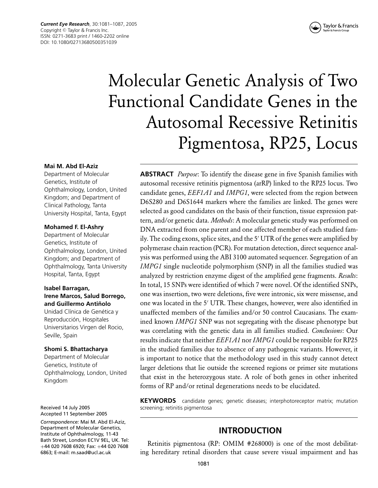*Current Eye Research*, 30:1081–1087, 2005 Copyright © Taylor & Francis Inc. ISSN: 0271-3683 print / 1460-2202 online DOI: 10.1080/02713680500351039



# Molecular Genetic Analysis of Two Functional Candidate Genes in the Autosomal Recessive Retinitis Pigmentosa, RP25, Locus

## **Mai M. Abd El-Aziz**

Department of Molecular Genetics, Institute of Ophthalmology, London, United Kingdom; and Department of Clinical Pathology, Tanta University Hospital, Tanta, Egypt

#### **Mohamed F. El-Ashry**

Department of Molecular Genetics, Institute of Ophthalmology, London, United Kingdom; and Department of Ophthalmology, Tanta University Hospital, Tanta, Egypt

## **Isabel Barragan, Irene Marcos, Salud Borrego,** and Guillermo Antiñolo

Unidad Clínica de Genética y Reproducción, Hospitales Universitarios Virgen del Rocio, Seville, Spain

#### **Shomi S. Bhattacharya**

Department of Molecular Genetics, Institute of Ophthalmology, London, United Kingdom

Received 14 July 2005 Accepted 11 September 2005

*Correspondence:* Mai M. Abd El-Aziz, Department of Molecular Genetics, Institute of Ophthalmology, 11-43 Bath Street, London EC1V 9EL, UK. Tel: +44 020 7608 6920; Fax: +44 020 7608 6863; E-mail: m.saad@ucl.ac.uk

**ABSTRACT** *Purpose*: To identify the disease gene in five Spanish families with autosomal recessive retinitis pigmentosa (arRP) linked to the RP25 locus. Two candidate genes, *EEF1A1* and *IMPG1*, were selected from the region between D6S280 and D6S1644 markers where the families are linked. The genes were selected as good candidates on the basis of their function, tissue expression pattern, and/or genetic data. *Methods*: A molecular genetic study was performed on DNA extracted from one parent and one affected member of each studied family. The coding exons, splice sites, and the 5' UTR of the genes were amplified by polymerase chain reaction (PCR). For mutation detection, direct sequence analysis was performed using the ABI 3100 automated sequencer. Segregation of an *IMPG1* single nucleotide polymorphism (SNP) in all the families studied was analyzed by restriction enzyme digest of the amplified gene fragments. *Results*: In total, 15 SNPs were identified of which 7 were novel. Of the identified SNPs, one was insertion, two were deletions, five were intronic, six were missense, and one was located in the 5' UTR. These changes, however, were also identified in unaffected members of the families and/or 50 control Caucasians. The examined known *IMPG1* SNP was not segregating with the disease phenotype but was correlating with the genetic data in all families studied. *Conclusions*: Our results indicate that neither *EEF1A1* nor *IMPG1* could be responsible for RP25 in the studied families due to absence of any pathogenic variants. However, it is important to notice that the methodology used in this study cannot detect larger deletions that lie outside the screened regions or primer site mutations that exist in the heterozygous state. A role of both genes in other inherited forms of RP and/or retinal degenerations needs to be elucidated.

**KEYWORDS** candidate genes; genetic diseases; interphotoreceptor matrix; mutation screening; retinitis pigmentosa

## **INTRODUCTION**

Retinitis pigmentosa (RP: OMIM #268000) is one of the most debilitating hereditary retinal disorders that cause severe visual impairment and has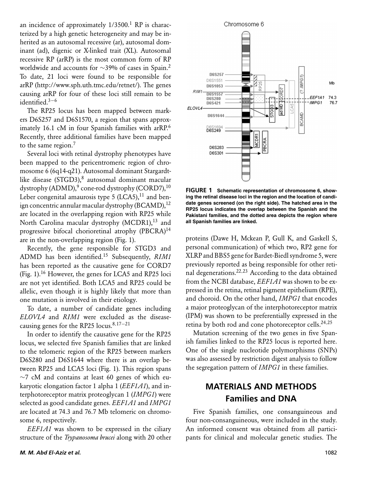an incidence of approximately  $1/3500$ .<sup>1</sup> RP is characterized by a high genetic heterogeneity and may be inherited as an autosomal recessive (ar), autosomal dominant (ad), digenic or X-linked trait (XL). Autosomal recessive RP (arRP) is the most common form of RP worldwide and accounts for ~39% of cases in Spain.<sup>2</sup> To date, 21 loci were found to be responsible for arRP (http://www.sph.uth.tmc.edu/retnet/). The genes causing arRP for four of these loci still remain to be identified.3−<sup>6</sup>

The RP25 locus has been mapped between markers D6S257 and D6S1570, a region that spans approximately 16.1 cM in four Spanish families with arRP.<sup>6</sup> Recently, three additional families have been mapped to the same region. $<sup>7</sup>$ </sup>

Several loci with retinal dystrophy phenotypes have been mapped to the pericentromeric region of chromosome 6 (6q14-q21). Autosomal dominant Stargardtlike disease (STGD3),<sup>8</sup> autosomal dominant macular dystrophy (ADMD),<sup>9</sup> cone-rod dystrophy (CORD7),<sup>10</sup> Leber congenital amaurosis type 5 (LCA5), $^{11}$  and benign concentric annular macular dystrophy (BCAMD),  $^{12}$ are located in the overlapping region with RP25 while North Carolina macular dystrophy (MCDR1),<sup>13</sup> and progressive bifocal chorioretinal atrophy (PBCRA)<sup>14</sup> are in the non-overlapping region (Fig. 1).

Recently, the gene responsible for STGD3 and ADMD has been identified.15 Subsequently, *RIM1* has been reported as the causative gene for CORD7 (Fig. 1).<sup>16</sup> However, the genes for LCA5 and RP25 loci are not yet identified. Both LCA5 and RP25 could be allelic, even though it is highly likely that more than one mutation is involved in their etiology.

To date, a number of candidate genes including *ELOVL4* and *RIM1* were excluded as the diseasecausing genes for the RP25 locus.<sup>8,17–21</sup>

In order to identify the causative gene for the RP25 locus, we selected five Spanish families that are linked to the telomeric region of the RP25 between markers D6S280 and D6S1644 where there is an overlap between RP25 and LCA5 loci (Fig. 1). This region spans  $\sim$ 7 cM and contains at least 60 genes of which eukaryotic elongation factor 1 alpha 1 (*EEF1A1*), and interphotoreceptor matrix proteoglycan 1 (*IMPG1*) were selected as good candidate genes. *EEF1A1* and *IMPG1* are located at 74.3 and 76.7 Mb telomeric on chromosome 6, respectively.

*EEF1A1* was shown to be expressed in the ciliary structure of the *Trypanosoma brucei* along with 20 other



**FIGURE 1 Schematic representation of chromosome 6, showing the retinal disease loci in the region and the location of candidate genes screened (on the right side). The hatched area in the RP25 locus indicates the overlap between the Spanish and the Pakistani families, and the dotted area depicts the region where all Spanish families are linked.**

proteins (Dawe H, Mckean P, Gull K, and Gaskell S, personal communication) of which two, RP2 gene for XLRP and BBS5 gene for Bardet-Biedl syndrome 5, were previously reported as being responsible for other retinal degenerations.22,<sup>23</sup> According to the data obtained from the NCBI database, *EEF1A1* was shown to be expressed in the retina, retinal pigment epithelium (RPE), and choroid. On the other hand, *IMPG1* that encodes a major proteoglycan of the interphotoreceptor matrix (IPM) was shown to be preferentially expressed in the retina by both rod and cone photoreceptor cells.<sup>24,25</sup>

Mutation screening of the two genes in five Spanish families linked to the RP25 locus is reported here. One of the single nucleotide polymorphisms (SNPs) was also assessed by restriction digest analysis to follow the segregation pattern of *IMPG1* in these families.

# **MATERIALS AND METHODS Families and DNA**

Five Spanish families, one consanguineous and four non-consanguineous, were included in the study. An informed consent was obtained from all participants for clinical and molecular genetic studies. The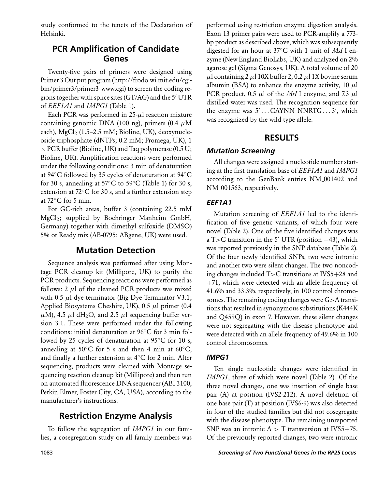study conformed to the tenets of the Declaration of Helsinki.

# **PCR Amplification of Candidate Genes**

Twenty-five pairs of primers were designed using Primer 3 Out put program (http://frodo.wi.mit.edu/cgibin/primer3/primer3 www.cgi) to screen the coding regions together with splice sites (GT/AG) and the 5' UTR of *EEF1A1* and *IMPG1* (Table 1).

Each PCR was performed in  $25-\mu l$  reaction mixture containing genomic DNA (100 ng), primers (0.4  $\mu$ M each),  $MgCl<sub>2</sub>$  (1.5–2.5 mM; Bioline, UK), deoxynucleoside triphosphate (dNTPs; 0.2 mM; Promega, UK), 1  $\times$  PCR buffer (Bioline, UK) and Taq polymerase (0.5 U; Bioline, UK). Amplification reactions were performed under the following conditions: 3 min of denaturation at 94◦C followed by 35 cycles of denaturation at 94◦C for 30 s, annealing at 57 $\mathrm{^{\circ}C}$  to 59 $\mathrm{^{\circ}C}$  (Table 1) for 30 s, extension at 72◦C for 30 s, and a further extension step at 72◦C for 5 min.

For GC-rich areas, buffer 3 (containing 22.5 mM MgCl2; supplied by Boehringer Manheim GmbH, Germany) together with dimethyl sulfoxide (DMSO) 5% or Ready mix (AB-0795; ABgene, UK) were used.

# **Mutation Detection**

Sequence analysis was performed after using Montage PCR cleanup kit (Millipore, UK) to purify the PCR products. Sequencing reactions were performed as follows:  $2 \mu l$  of the cleaned PCR products was mixed with 0.5  $\mu$ l dye terminator (Big Dye Terminator V3.1; Applied Biosystems Cheshire, UK), 0.5  $\mu$ l primer (0.4  $\mu$ M), 4.5  $\mu$ l dH<sub>2</sub>O, and 2.5  $\mu$ l sequencing buffer version 3.1. These were performed under the following conditions: initial denaturation at 96◦C for 3 min followed by 25 cycles of denaturation at 95◦C for 10 s, annealing at 50 $°C$  for 5 s and then 4 min at 60 $°C$ , and finally a further extension at 4◦C for 2 min. After sequencing, products were cleaned with Montage sequencing reaction cleanup kit (Millipore) and then run on automated fluorescence DNA sequencer (ABI 3100, Perkin Elmer, Foster City, CA, USA), according to the manufacturer's instructions.

# **Restriction Enzyme Analysis**

To follow the segregation of *IMPG1* in our families, a cosegregation study on all family members was

ing at the first translation base of *EEF1A1* and *IMPG1* according to the GenBank entries NM 001402 and NM 001563, respectively. *EEF1A1* Mutation screening of *EEF1A1* led to the identification of five genetic variants, of which four were novel (Table 2). One of the five identified changes was

a T>C transition in the 5' UTR (position  $-43$ ), which was reported previously in the SNP database (Table 2). Of the four newly identified SNPs, two were intronic and another two were silent changes. The two noncoding changes included T>C transitions at IVS5+28 and +71, which were detected with an allele frequency of 41.6% and 33.3%, respectively, in 100 control chromosomes. The remaining coding changes were G>A transitions that resulted in synonymous substitutions (K444K and Q459Q) in exon 7. However, these silent changes were not segregating with the disease phenotype and were detected with an allele frequency of 49.6% in 100 control chromosomes.

performed using restriction enzyme digestion analysis. Exon 13 primer pairs were used to PCR-amplify a 773 bp product as described above, which was subsequently digested for an hour at 37◦C with 1 unit of *MsI* I enzyme (New England BioLabs, UK) and analyzed on 2% agarose gel (Sigma Genosys, UK). A total volume of 20  $\mu$ l containing 2  $\mu$ l 10X buffer 2, 0.2  $\mu$ l 1X bovine serum albumin (BSA) to enhance the enzyme activity, 10  $\mu$ l PCR product, 0.5  $\mu$ l of the *MsI* I enzyme, and 7.3  $\mu$ l distilled water was used. The recognition sequence for the enzyme was 5'...CAYNN NNRTG...3', which

**RESULTS**

All changes were assigned a nucleotide number start-

was recognized by the wild-type allele.

*Mutation Screening*

## *IMPG1*

Ten single nucleotide changes were identified in *IMPG1*, three of which were novel (Table 2). Of the three novel changes, one was insertion of single base pair (A) at position (IVS2-212). A novel deletion of one base pair (T) at position (IVS6-9) was also detected in four of the studied families but did not cosegregate with the disease phenotype. The remaining unreported SNP was an intronic  $A > T$  transversion at IVS5+75. Of the previously reported changes, two were intronic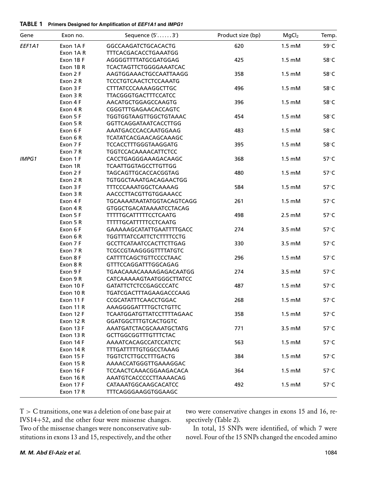#### **TABLE 1 Primers Designed for Amplification of** *EEF1A1* **and** *IMPG1*

| Gene         | Exon no.  | Sequence (5'3')                  | Product size (bp) | MgCl <sub>2</sub> | Temp.          |
|--------------|-----------|----------------------------------|-------------------|-------------------|----------------|
| EEF1A1       | Exon 1AF  | GGCCAAGATCTGCACACTG              | 620               | $1.5 \text{ mM}$  | 59°C           |
|              | Exon 1AR  | TTTCACGACACCTGAAATGG             |                   |                   |                |
|              | Exon 1B F | AGGGGTTTTATGCGATGGAG             | 425               | $1.5 \text{ mM}$  | 58°C           |
|              | Exon 1BR  | <b>TCACTAGTTCTGGGGAAATCAC</b>    |                   |                   |                |
|              | Exon 2 F  | AAGTGGAAACTGCCAATTAAGG           | 358               | $1.5 \text{ mM}$  | 58°C           |
|              | Exon 2 R  | TCCCTGTCAACTCTCCAAATG            |                   |                   |                |
|              | Exon 3 F  | CTTTATCCCAAAAGGCTTGC             | 496               | $1.5 \text{ mM}$  | 58°C           |
|              | Exon 3 R  | TTACGGGTGACTTTCCATCC             |                   |                   |                |
|              | Exon 4 F  | AACATGCTGGAGCCAAGTG              | 396               | $1.5 \text{ mM}$  | 58°C           |
|              | Exon 4 R  | CGGGTTTGAGAACACCAGTC             |                   |                   |                |
|              | Exon 5 F  | TGGTGGTAAGTTGGCTGTAAAC           | 454               | $1.5 \text{ mM}$  | 58°C           |
|              | Exon 5 R  | GGTTCAGGATAATCACCTTGG            |                   |                   |                |
|              | Exon 6 F  | AAATGACCCACCAATGGAAG             | 483               | $1.5 \text{ mM}$  | 58°C           |
|              | Exon 6 R  | TCATATCACGAACAGCAAAGC            |                   |                   |                |
|              | Exon 7 F  | TCCACCTTTGGGTAAGGATG             | 395               | $1.5 \text{ mM}$  | 58°C           |
|              | Exon 7 R  | TGGTCCACAAAACATTCTCC             |                   |                   |                |
| <b>IMPG1</b> | Exon 1 F  | CACCTGAGGGAAAGACAAGC             | 368               | $1.5 \text{ mM}$  | 57°C           |
|              | Exon 1R   | <b>TCAATTGGTAGCCTTGTTGG</b>      |                   |                   |                |
|              | Exon 2 F  | TAGCAGTTGCACCACGGTAG             | 480               | $1.5 \text{ mM}$  | 57°C           |
|              | Exon 2 R  | TGTGGCTAAATGACAGAACTGG           |                   |                   |                |
|              | Exon 3 F  | TTTCCCAAATGGCTCAAAAG             | 584               | $1.5 \text{ mM}$  | 57°C           |
|              | Exon 3 R  | AACCCTTACGTTGTGGAAACC            |                   |                   |                |
|              | Exon 4 F  | TGCAAAATAATATGGTACAGTCAGG        | 261               | $1.5 \text{ mM}$  | 57°C           |
|              | Exon 4 R  | GTGGCTGACATAAAATCCTACAG          |                   |                   |                |
|              | Exon 5 F  | <b>TTTTTGCATTTTTCCTCAATG</b>     | 498               | $2.5 \text{ mM}$  | 57°C           |
|              | Exon 5 R  | TTTTTGCATTTTTCCTCAATG            |                   |                   |                |
|              | Exon 6 F  | GAAAAAGCATATTGAATTTTGACC         | 274               | 3.5 mM            | 57°C           |
|              | Exon 6 R  | <b>TGGTTTATCCATTCTCTTTTCCTG</b>  |                   |                   |                |
|              | Exon 7 F  | GCCTTCATAATCCACTTCTTGAG          | 330               | 3.5 mM            | $57^{\circ}$ C |
|              | Exon 7 R  | TCGCCGTAAGGGGTTTTATGTC           |                   |                   |                |
|              | Exon 8 F  | CATTTTCAGCTGTTCCCCTAAC           | 296               | $1.5 \text{ mM}$  | 57°C           |
|              | Exon 8 R  | GTTTCCAGGATTTGGCAGAG             |                   |                   |                |
|              | Exon 9 F  | TGAACAAACAAAAGAGACAATGG          | 274               | 3.5 mM            | 57°C           |
|              | Exon 9 R  | CATCAAAAAGTAATGGGCTTATCC         |                   |                   |                |
|              | Exon 10 F | GATATTCTCTCCGAGCCCATC            | 487               | $1.5 \text{ mM}$  | 57°C           |
|              | Exon 10 R | TGATCGACTTTAGAAGACCCAAG          |                   |                   |                |
|              | Exon 11 F | CCGCATATTTCAACCTGGAC             | 268               | $1.5 \text{ mM}$  | 57°C           |
|              | Exon 11 R | AAAGGGGATTTTGCTCTGTTC            |                   |                   |                |
|              | Exon 12 F | <b>TCAATGGATGTTATCCTTTTAGAAC</b> | 358               | $1.5 \text{ mM}$  | 57°C           |
|              | Exon 12 R | GGATGGCTTTGTCACTGGTC             |                   |                   |                |
|              | Exon 13 F | AAATGATCTACGCAAATGCTATG          | 771               | 3.5 mM            | 57°C           |
|              | Exon 13 R | <b>GCTTGGCGGTTTGTTTCTAC</b>      |                   |                   |                |
|              | Exon 14 F | AAAATCACAGCCATCCATCTC            | 563               | $1.5 \text{ mM}$  | 57°C           |
|              | Exon 14 R | TTTGATTTTTGTGGCCTAAAG            |                   |                   |                |
|              | Exon 15 F | <b>TGGTCTCTTGCCTTTGACTG</b>      | 384               | $1.5 \text{ mM}$  | 57°C           |
|              | Exon 15R  | AAAACCATGGGTTGAAAGGAC            |                   |                   |                |
|              | Exon 16 F | TCCAACTCAAACGGAAGACACA           | 364               | $1.5 \text{ mM}$  | 57°C           |
|              | Exon 16 R | AAATGTCACCCCCTTAAAACAG           |                   |                   |                |
|              | Exon 17 F | CATAAATGGCAAGCACATCC             | 492               | $1.5 \text{ mM}$  | 57°C           |
|              | Exon 17 R | TTTCAGGGAAGGTGGAAGC              |                   |                   |                |

T > C transitions, one was a deletion of one base pair at IVS14+52, and the other four were missense changes. Two of the missense changes were nonconservative substitutions in exons 13 and 15, respectively, and the other two were conservative changes in exons 15 and 16, respectively (Table 2).

In total, 15 SNPs were identified, of which 7 were novel. Four of the 15 SNPs changed the encoded amino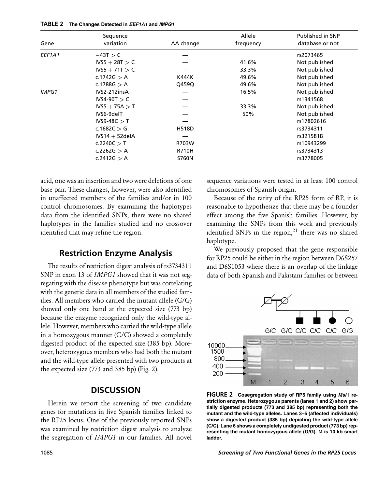|  | TABLE 2 The Changes Detected in EEF1A1 and IMPG1 |  |
|--|--------------------------------------------------|--|
|--|--------------------------------------------------|--|

| Gene         | Sequence<br>variation | AA change    | Allele<br>frequency | Published in SNP<br>database or not |
|--------------|-----------------------|--------------|---------------------|-------------------------------------|
| EEF1A1       | $-43T > C$            |              |                     | rs2073465                           |
|              | $IVS5 + 28T > C$      |              | 41.6%               | Not published                       |
|              | $IVS5 + 71T > C$      |              | 33.3%               | Not published                       |
|              | c.1742G $> A$         | K444K        | 49.6%               | Not published                       |
|              | c.1788G $> A$         | Q459Q        | 49.6%               | Not published                       |
| <b>IMPG1</b> | IVS2-212insA          |              | 16.5%               | Not published                       |
|              | $IVS4-90T > C$        |              |                     | rs1341568                           |
|              | $IVS5 + 75A > T$      |              | 33.3%               | Not published                       |
|              | IVS6-9delT            |              | 50%                 | Not published                       |
|              | $IVS9-48C > T$        |              |                     | rs17802616                          |
|              | c.1682C $>$ G         | <b>H518D</b> |                     | rs3734311                           |
|              | $IVS14 + 52$ delA     |              |                     | rs3215818                           |
|              | c.2240C $>$ T         | R703W        |                     | rs10943299                          |
|              | c.2262G $> A$         | <b>R710H</b> |                     | rs3734313                           |
|              | c.2412G > A           | <b>S760N</b> |                     | rs3778005                           |

acid, one was an insertion and two were deletions of one base pair. These changes, however, were also identified in unaffected members of the families and/or in 100 control chromosomes. By examining the haplotypes data from the identified SNPs, there were no shared haplotypes in the families studied and no crossover identified that may refine the region.

# **Restriction Enzyme Analysis**

The results of restriction digest analysis of rs3734311 SNP in exon 13 of *IMPG1* showed that it was not segregating with the disease phenotype but was correlating with the genetic data in all members of the studied families. All members who carried the mutant allele (G/G) showed only one band at the expected size (773 bp) because the enzyme recognized only the wild-type allele. However, members who carried the wild-type allele in a homozygous manner (C/C) showed a completely digested product of the expected size (385 bp). Moreover, heterozygous members who had both the mutant and the wild-type allele presented with two products at the expected size (773 and 385 bp) (Fig. 2).

## **DISCUSSION**

Herein we report the screening of two candidate genes for mutations in five Spanish families linked to the RP25 locus. One of the previously reported SNPs was examined by restriction digest analysis to analyze the segregation of *IMPG1* in our families. All novel

sequence variations were tested in at least 100 control chromosomes of Spanish origin.

Because of the rarity of the RP25 form of RP, it is reasonable to hypothesize that there may be a founder effect among the five Spanish families. However, by examining the SNPs from this work and previously identified SNPs in the region, $21$  there was no shared haplotype.

We previously proposed that the gene responsible for RP25 could be either in the region between D6S257 and D6S1053 where there is an overlap of the linkage data of both Spanish and Pakistani families or between



**FIGURE 2 Cosegregation study of RP5 family using** *MsI* **I restriction enzyme. Heterozygous parents (lanes 1 and 2) show partially digested products (773 and 385 bp) representing both the mutant and the wild-type alleles. Lanes 3–5 (affected individuals) show a digested product (385 bp) depicting the wild-type allele (C/C). Lane 6 shows a completely undigested product (773 bp) representing the mutant homozygous allele (G/G). M is 10 kb smart ladder.**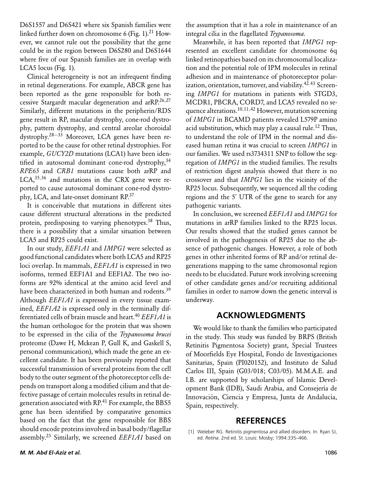D6S1557 and D6S421 where six Spanish families were linked further down on chromosome 6 (Fig. 1).<sup>21</sup> However, we cannot rule out the possibility that the gene could be in the region between D6S280 and D6S1644 where five of our Spanish families are in overlap with LCA5 locus (Fig. 1).

Clinical heterogeneity is not an infrequent finding in retinal degenerations. For example, ABCR gene has been reported as the gene responsible for both recessive Stargardt macular degeneration and  $\text{arR}P^{26,27}$ Similarly, different mutations in the peripherin/RDS gene result in RP, macular dystrophy, cone-rod dystrophy, pattern dystrophy, and central areolar choroidal dystrophy.28−<sup>33</sup> Moreover, LCA genes have been reported to be the cause for other retinal dystrophies. For example, *GUCY2D* mutations (LCA1) have been identified in autosomal dominant cone-rod dystrophy,  $34$ *RPE65* and *CRB1* mutations cause both arRP and LCA,<sup>35,36</sup> and mutations in the CRX gene were reported to cause autosomal dominant cone-rod dystrophy, LCA, and late-onset dominant RP.<sup>37</sup>

It is conceivable that mutations in different sites cause different structural alterations in the predicted protein, predisposing to varying phenotypes.<sup>38</sup> Thus, there is a possibility that a similar situation between LCA5 and RP25 could exist.

In our study, *EEF1A1* and *IMPG1* were selected as good functional candidates where both LCA5 and RP25 loci overlap. In mammals, *EEF1A1* is expressed in two isoforms, termed EEF1A1 and EEF1A2. The two isoforms are 92% identical at the amino acid level and have been characterized in both human and rodents.<sup>39</sup> Although *EEF1A1* is expressed in every tissue examined, *EEF1A2* is expressed only in the terminally differentiated cells of brain muscle and heart.40 *EEF1A1* is the human orthologoe for the protein that was shown to be expressed in the cilia of the *Trypanosoma brucei* proteome (Dawe H, Mckean P, Gull K, and Gaskell S, personal communication), which made the gene an excellent candidate. It has been previously reported that successful transmission of several proteins from the cell body to the outer segment of the photoreceptor cells depends on transport along a modified cilium and that defective passage of certain molecules results in retinal degeneration associated with RP.<sup>41</sup> For example, the BBS5 gene has been identified by comparative genomics based on the fact that the gene responsible for BBS should encode proteins involved in basal body/flagellar assembly.23 Similarly, we screened *EEF1A1* based on the assumption that it has a role in maintenance of an integral cilia in the flagellated *Trypanosoma*.

Meanwhile, it has been reported that *IMPG1* represented an excellent candidate for chromosome 6q linked retinopathies based on its chromosomal localization and the potential role of IPM molecules in retinal adhesion and in maintenance of photoreceptor polarization, orientation, turnover, and viability.42,<sup>43</sup> Screening *IMPG1* for mutations in patients with STGD3, MCDR1, PBCRA, CORD7, and LCA5 revealed no sequence alterations.10,11,<sup>42</sup> However, mutation screening of *IMPG1* in BCAMD patients revealed L579P amino acid substitution, which may play a causal rule.<sup>12</sup> Thus, to understand the role of IPM in the normal and diseased human retina it was crucial to screen *IMPG1* in our families. We used rs3734311 SNP to follow the segregation of *IMPG1* in the studied families. The results of restriction digest analysis showed that there is no crossover and that *IMPG1* lies in the vicinity of the RP25 locus. Subsequently, we sequenced all the coding regions and the 5' UTR of the gene to search for any pathogenic variants.

In conclusion, we screened *EEF1A1* and *IMPG1* for mutations in arRP families linked to the RP25 locus. Our results showed that the studied genes cannot be involved in the pathogenesis of RP25 due to the absence of pathogenic changes. However, a role of both genes in other inherited forms of RP and/or retinal degenerations mapping to the same chromosomal region needs to be elucidated. Future work involving screening of other candidate genes and/or recruiting additional families in order to narrow down the genetic interval is underway.

## **ACKNOWLEDGMENTS**

We would like to thank the families who participated in the study. This study was funded by BRPS (British Retinitis Pigmentosa Society) grant, Special Trustees of Moorfields Eye Hospital, Fondo de Investigaciones Sanitarias, Spain (PI020152), and Instituto de Salud Carlos III, Spain (G03/018; C03/05). M.M.A.E. and I.B. are supported by scholarships of Islamic Development Bank (IDB), Saudi Arabia, and Consejería de Innovación, Ciencia y Empresa, Junta de Andalucía, Spain, respectively.

## **REFERENCES**

[1] Weleber RG. Retinitis pigmentosa and allied disorders. In: Ryan SJ, ed. *Retina*. 2nd ed. St. Louis: Mosby; 1994:335–466.